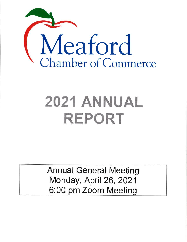

# 2021 ANNUAL REPORT

Annual General Meeting Monday, April 26, 2021 6:00 pm Zoom Meeting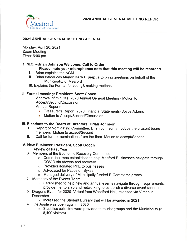

## 2021 ANNUAL GENERAL MEETING AGENDA

Monday, April26,2021 Zoom Meeting Time: 6:00 pm

## 1. M.C. -Brian Johnson Welcome: Call to Order

- 
- Please microphones meet as an interpretationer meeting will be recorded it. Brian explains the AGM ll. Brian introduces Mayor Barb Clumpus to bring greetings on behalf of the Municipality of Meaford
- lll. Explains the Format for voting& making motions

- ll. Formal meeting: President, Scott Gooch l. Approval of minutes: 2020 Annual General Meeting Motion to Accept/Second/Discussion
	- ll. Annual Reports:
		- Treasurer's Report, 2020 Financial Statements- Joyce Adams
		- Motion to Accept/Second/Discussion

- III. Elections to the Board of Directors: Brian Johnson<br>
I. Report of Nominating Committee: Brian Johnson introduce the present board<br>
members Motion to accept/Second
	- II. Call for further nominations from the floor Motion to accept/Second

#### lV. New Business: President, Scoft Gooch Review of Past Year

- 
- $\triangleright$  Members of the Economic Recovery Committee<br>
o Committee was established to help Meaford Businesses navigate through COVID shutdowns and recovery
	- o Provided donated PPE to businesses
	- o Advocated for Patios on Sykes
- $\circ$  Managed delivery of Municipally funded E-Commerce grants<br>
> Members of the Events Team
- 
- o Established to help new and annual events navigate through requirements, provide mentorship and networking to establish a diverse event schedule.<br>> Dragons Event for 2020 -Virtual from Woodford Hall, released via Vimeo in
- **December**
- o Increased the Student Bursary that will be awarded in 2021<br>
> The Apple was open again in 2020
- - o Statistics collected were provided to tourist groups and the Municipality (> 8,400 visitors)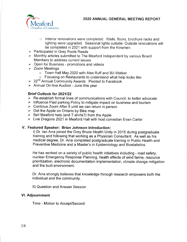

- Interior renovations were completed: Walls, floors, brochure racks and lighting were upgraded. Seasonal lights outside. Outside renovations will be completed in 2021 with support from the Kinsmen.
- $\blacktriangleright$  Participated in Grey Roots Reads
- $\blacktriangleright$  Monthly articles submitted to The Meaford Independent by various Board Members to address current issues
- $\blacktriangleright$  Open for Business promotions and videos
- $\geq$  Zoom Meetings:
	- o Town Hall May 2020 with Alex Ruff and Bill Walker
- Focusing on Restaurants to understand what help looks like<br>
≥ 22<sup>nd</sup> Annual Community Awards: Pivoted to Facebook
- 
- $\triangleright$  Annual On-line Auction June this year

#### Brief Outlook for 2021/22

- $\triangleright$  Re-establish formal lines of communications with Council, to better advocate
- $\triangleright$  Influence Paid parking Policy to mitigate impact on business and tourism
- $\triangleright$  Continue Zoom After 5 until we can return in person
- $\triangleright$  Get the Apple on Ontario by Bike map
- $\triangleright$  Sell Meaford hats (and T-shirts?) from the Apple
- $\geq$  Live Dragons 2021 in Meaford Hall with host comedian Evan Carter

#### V. Featured Speaker: Brian Johnson lntroduction:

l) Dr. lan Arra joined the Grey Bruce Health Unity in 2015 during postgraduate training and following that working as a Physician Consultant. As well as his medical degree, Dr. Arra completed postgraduate training in Public Health and Preventive Medicine and a Master's in Epidemiology and Biostatistics.

He has worked on a variety of public health initiatives including - road safety, nuclear Emergency Response Planning, health effects of wind farms, resource prioritization, electronic documentation implementation, climate change mitigation and the built environment.

Dr. Arra strongly believes that knowledge through research empowers both the individual and the community.

ll) Question and Answer Session

### Vl. Adjournment

Time - Motion to Accept/Second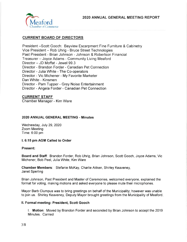

#### CURRENT BOARD OF DIRECTORS

President -Scott Gooch. Bayview Escarpment Fine Furniture & Cabinetry Vice President - Rob Uhrig - Bruce Street Technologies Past President - Brian Johnson - Johnson & Robertson Financial Treasurer - Joyce Adams - Community Living Meaford Director - JD Moffat - Jewel 99.3 Director - Brandon Forder - Canadian Pet Connection Director - Julia White - The Co-operators Director - Vic Michener - My Favorite Marketer Dan White - Kinsmen Director - Pam Tupper - Grey Noise Entertainment Director - Angela Forder - Canadian Pet Connection

#### CURRENT STAFF

Chamber Manager - Kim Ware

#### 2020 ANNUAL GENERAL MEETING - Minutes

Wednesday, July 29, 2020 Zoom Meeting Time: 6:00 pm

#### l. 6:15 pm AGM Called to Order

#### Present:

Board and Staff: Brandon Forder, Rob Uhrig, Brian Johnson, Scott Gooch, Joyce Adams, Vic Michener, Bob Peel, Julia White, Kim Ware

Ghamber Members: Stefanie McKay, Charlie Aitken, Shirley Keaveney, Janet Sperling

Brian Johnson, Past President and Master of Ceremonies, welcomed everyone, explained the format for voting, making motions and asked everyone to please mute their microphones.

Mayor Barb Clumpus was to bring greetings on behalf of the Municipality; however was unable to join us. Shirley Keaveney, Deputy Mayor brought greetings from the Municipality of Meaford

#### ll. Formal meeting: President, Scott Gooch

l. Motion: Moved by Brandon Forder and seconded by Brian Johnson to accept the <sup>2019</sup> Minutes. Carried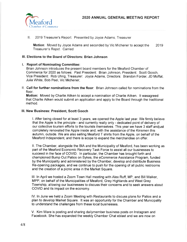

ll. 2019 Treasurer's Report: Presented by Joyce Adams, Treasurer

Motion: Moved by Joyce Adams and seconded by Vic Michener to accept the Treasurer's Repot. Carried 2019

#### lll. Elections to the Board of Directors: Brian Johnson

#### l. Report of Nominating Committee:

Brian Johnson introduces the present board members for the Meaford Chamber of Commerce for 2020 as follows: Past President: Brian Johnson, President: Scott Gooch, Vice President: Rob Uhrig, Treasurer: Joyce Adams, Directors: Brandon Forder, JD Moffat, Julia White, Bob Peel, Vic Michener,

ll. Call for further nominations from the floor: Brian Johnson called for nominations from the floor.

Motion: Moved by Charlie Aitken to accept a nomination of Charlie Aitken. lt wasagreed that Charlie Aitken would submit an application and apply to the Board through the traditional method.

#### lll. New Business: President, Scott Gooch

l. After being closed for at least 3 years, we opened the Apple last year. We firmly believe that the Apple is the principle - and currently really only - dedicated point of delivery of our collective tourism efforts to the tourists themselves. This year we have 3 staff andjust completely renovated the Apple inside and, with the assistance of the Kinsmen this autumn, outside. We are also selling Meaford T shirts from the Apple, on behalf of the Meaford lndependent, and there is scope to expand the merchandise on offer.

ll. The Chamber, alongside the BIA and the Municipality of Meaford, has been working as part of the Meaford Economic Recovery Task Force to assist all our businesses to succeed in the face of COVID. ln particular, the Chamber has brought forth and championed Bump Out Patios on Sykes, the eCommerce Assistance Program, funded by the Municipality and administered by the Chamber, develop and distribute Business Re-opening packages, and we continue to push for the opening of all public restrooms and the creation of a picnic area in the Market Square.

III. In April we hosted a Zoom Town Hall meeting with Alex Ruff, MP, and Bill Walker, MPP, on behalf of the Municipalities of Meaford, Grey Highlands and West Grey Township, allowing our businesses to discuss their concerns and to seek answers about COVID and its impact on the economy.

lV. ln June we held a Zoom Meeting with Restaurants to discuss plans for Patios and a plan to develop Market Square. lt was an opportunity for the Chamber and Municipality to understand the challenges from these local businesses.

V. Kim Ware is posting and sharing dailymember business posts on lnstagram and Facebook. She has expanded the weekly Chamber Chat eblast and we are now on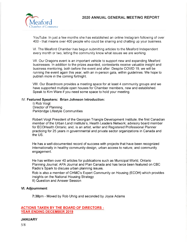

YouTube. ln just a few months she has established an online lnstagram following of over 400 - that means over 400 people who could be sharing and chatting up your business.

Vl. The Meaford Chamber has begun submitting articles to the Meaford lndependent every month or two, letting the community know what issues we are working.

Vll. Our Dragons event is an important vehicle to support new and expanding Meaford businesses. ln addition to the prizes awarded, contestants receive valuable insight and business mentoring, both before the event and after. Despite COVID 19, we will be running the event again this year, with an in-person gala, within guidelines. We hope to publish more in the coming fortnight.

Vlll. Our Boardroom provides a meeting space for at least 4 community groups and we have supported multiple open houses for Chamber members, new and established. Speak to Kim Ware if you need some space to hold your meeting.

#### lV. Featured Speakers: Brian Johnson lntroduction:

l) Rob Voigt Director of Planning Parkbridge Lifestyle Communities

Robert Voigt President of the Georgian Triangle Development lnstitute; the first Canadian member of the Urban Land lnstitute's, Health Leaders Network; advisory board member for ECOHealth Ontario; and, is an artist, writer and Registered Professional Planner practicing tor 25 years in governmental and private sector organizations in Canada and the US.

He has a well-documented record of success with projects that have been recognized internationally in healthy community design, urban access to nature, and community engagement.

He has written over 40 articles for publications such as Municipal World, Ontario Planning Journal; APA Journal and Plan Canada and has twice been featured on CBC Radio's Spark to discuss urban planning issues.

Rob is also a member of CHMC's Expert Community on Housing (ECOH) which provides insights on the National Housing Strategy ll) Question and Answer Session

#### Vl. Adjournment

7:30pm - Moved by Rob Uhrig and seconded by Joyce Adams

#### ACTIONS TAKEN BY THE BOARD OF DIRECTORS - YEAR ENDING DECEMBER 2019

#### **JANUARY**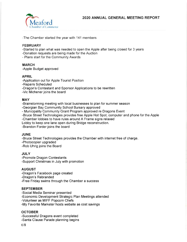

2O2O ANNUAL GENERAL MEETING REPORT

-The Chamber started the year with 141 members

#### FEBRUARY

-Started to plan what was needed to open the Apple after being closed for 3 years

- -Donation requests are being made for the Auction
- Plans start for the Community Awards

#### MARCH

-Apple Budget approved

#### APRIL

-Application out for Apple Tourist Position

-Repairs Scheduled

-Dragon's Contestant and Sponsor Applications to be rewritten

-Vic Michener joins the board

#### **MAY**

-Brainstorming meeting with local businesses to plan for summer season

-Georgian Bay Community School Bursary approved

- Municipality Community Grant Program approved re Dragons Event

-Bruce Street Technologies provides free Apple Hot Spot, computer and phone for the Apple

-Chamber lobbies to have rules around A Frame signs relaxed

Lobby to keep one lane open during Bridge reconstruction.

-Brandon Forder joins the board

#### JUNE

-Bruce Street Technologies provides the Chamber with internet free of charge

-Photocopier upgraded

-Rob Uhrig joins the Board

#### JULY

-Promote Dragon Contestants -Support Christmas in July with promotion

#### AUGUST

-Dragon's Facebook page created

-Dragon's Rebranded

-Free Friday swims through the Chamber a success

#### **SEPTEMBER**

-Social Media Seminar presented -Economic Development Strategic Plan Meetings attended -Volunteer as MIFF Popcorn Chefs -My Favorite Marketer hosts website as cost savings

#### **OCTOBER**

-Successful Dragons event completed -Santa Clause Parade planning begins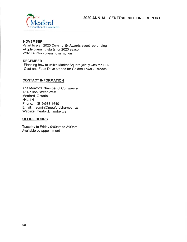

#### NOVEMBER

-Start to plan 2020 Community Awards event rebranding -Apple planning starts for 2020 season -2020 Auction planning in motion

#### DECEMBER

-Planning how to utilize Market Square jointly with the BIA -Coat and Food Drive started for Golden Town Outreach

#### CONTACT INFORMATION

The Meaford Chamber of Commerce 13 Nelson Street West Meaford, Ontario N4L 1N1 Phone: (519)538-1640 Email: admin@meafordchamber.ca Website: meafordchamber.ca

#### OFFICE HOURS

Tuesday to Friday 9:00am to 2:00pm. Available by appointment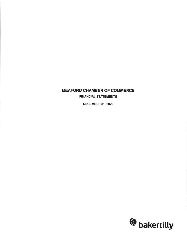## MEAFORD CHAMBER OF COMMERCE

FINANCIAL STATEMENTS

DECEMBER 31,2020

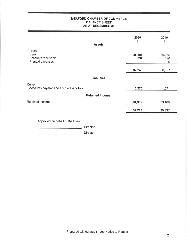#### MEAFORD CHAMBER OF COMMERCE BALANCE SHEET AS AT DECEMBER 31

| <b>Assets</b>                                                     | 2020<br>\$         | 2019<br>\$           |
|-------------------------------------------------------------------|--------------------|----------------------|
|                                                                   |                    |                      |
| Current<br><b>Bank</b><br>Accounts receivable<br>Prepaid expenses | 36,488<br>757<br>٠ | 30,272<br>170<br>395 |
|                                                                   | 37,245             | 30,837               |
| <b>Liabilities</b>                                                |                    |                      |
| Current<br>Accounts payable and accrued liabilities               | 5,276              | 1,671                |
| <b>Retained income</b>                                            |                    |                      |
| Retained income                                                   | 31,969             | 29,166               |
|                                                                   | 37,245             | 30,837               |
| Approved on behalf of the board<br>Director                       |                    |                      |

Director